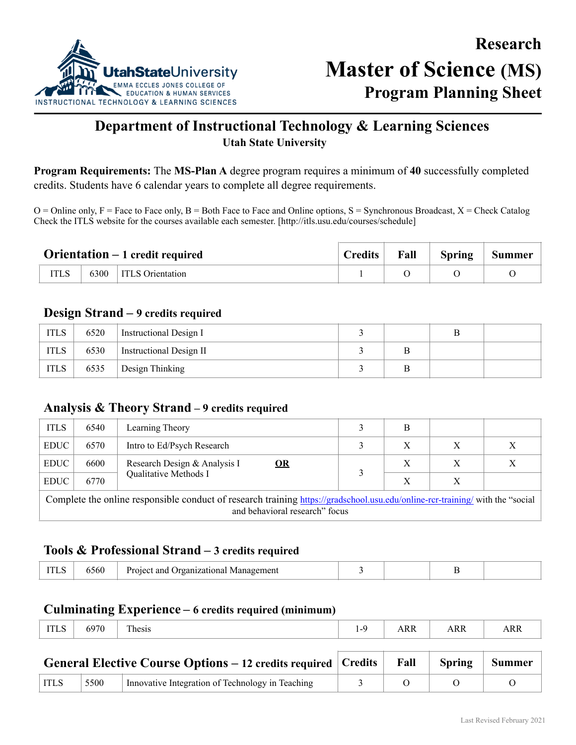

# **Department of Instructional Technology & Learning Sciences Utah State University**

**Program Requirements:** The **MS-Plan A** degree program requires a minimum of **40** successfully completed credits. Students have 6 calendar years to complete all degree requirements.

 $O =$ Online only, F = Face to Face only, B = Both Face to Face and Online options, S = Synchronous Broadcast, X = Check Catalog Check the ITLS website for the courses available each semester. [http://itls.usu.edu/courses/schedule]

|             |      | <b>Orientation</b> $-1$ credit required | Credits | Fall | <b>Spring</b> | Summer |
|-------------|------|-----------------------------------------|---------|------|---------------|--------|
| <b>ITLS</b> | 6300 | <b>ITLS</b> Orientation                 |         |      |               |        |

# **Design Strand – 9 credits required**

| <b>ITLS</b> | 6520 | Instructional Design I  |  |  |
|-------------|------|-------------------------|--|--|
| <b>ITLS</b> | 6530 | Instructional Design II |  |  |
| <b>ITLS</b> | 6535 | Design Thinking         |  |  |

# **Analysis & Theory Strand – 9 credits required**

| <b>ITLS</b>                                                                                                                                                     | 6540<br>Learning Theory<br>В |                                            |  |   |   |   |  |
|-----------------------------------------------------------------------------------------------------------------------------------------------------------------|------------------------------|--------------------------------------------|--|---|---|---|--|
| <b>EDUC</b>                                                                                                                                                     | 6570                         | Intro to Ed/Psych Research                 |  |   |   |   |  |
| <b>EDUC</b>                                                                                                                                                     | 6600                         | Research Design & Analysis I<br>$\Omega$ R |  | X | Χ | Х |  |
| <b>EDUC</b>                                                                                                                                                     | 6770                         | Qualitative Methods I                      |  | X | X |   |  |
| Complete the online responsible conduct of research training https://gradschool.usu.edu/online-rcr-training/ with the "social<br>and behavioral research" focus |                              |                                            |  |   |   |   |  |

# **Tools & Professional Strand – 3 credits required**

| 556U<br>Management<br>$\mathbf{p_{r}}$<br>. )rganizational<br>11 P.C.1<br>anc<br>11 T.C |  |  |  |  |
|-----------------------------------------------------------------------------------------|--|--|--|--|
|-----------------------------------------------------------------------------------------|--|--|--|--|

## **Culminating Experience – 6 credits required (minimum)**

| ARR<br><b>ARR</b><br>AKK<br>11 L.V |
|------------------------------------|
|------------------------------------|

|             |      | <b>General Elective Course Options – 12 credits required Credits  </b> | Fall | Spring Summer |  |
|-------------|------|------------------------------------------------------------------------|------|---------------|--|
| <b>ITLS</b> | 5500 | Innovative Integration of Technology in Teaching                       |      |               |  |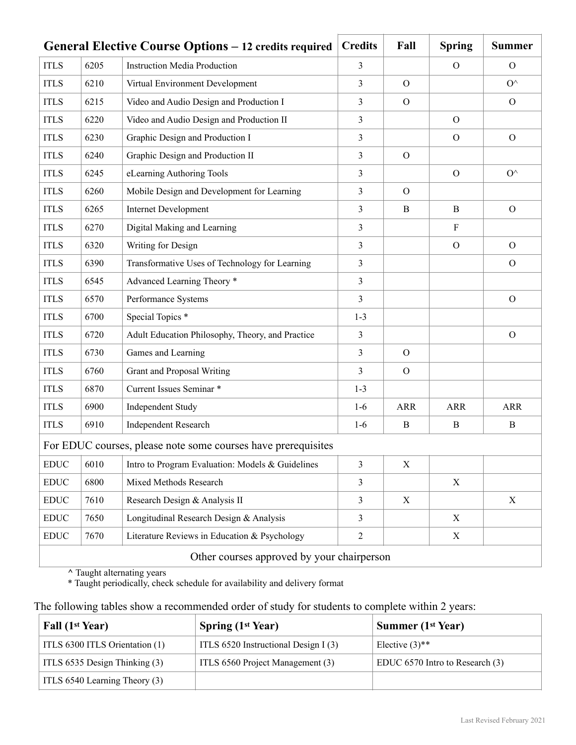|                              |                                                               | General Elective Course Options – 12 credits required | <b>Credits</b> | Fall           | <b>Spring</b> | <b>Summer</b>    |  |
|------------------------------|---------------------------------------------------------------|-------------------------------------------------------|----------------|----------------|---------------|------------------|--|
| <b>ITLS</b>                  | 6205                                                          | <b>Instruction Media Production</b>                   | 3              |                | $\mathbf{O}$  | $\Omega$         |  |
| <b>ITLS</b>                  | 6210                                                          | Virtual Environment Development                       | 3              | $\Omega$       |               | $O^{\wedge}$     |  |
| <b>ITLS</b>                  | 6215                                                          | Video and Audio Design and Production I               | 3              | $\Omega$       |               | $\Omega$         |  |
| <b>ITLS</b>                  | 6220                                                          | Video and Audio Design and Production II              | 3              |                | $\Omega$      |                  |  |
| <b>ITLS</b>                  | 6230                                                          | Graphic Design and Production I                       | 3              |                | $\Omega$      | $\mathcal{O}$    |  |
| <b>ITLS</b>                  | 6240                                                          | Graphic Design and Production II                      | 3              | $\mathbf{O}$   |               |                  |  |
| <b>ITLS</b>                  | 6245                                                          | eLearning Authoring Tools                             | 3              |                | $\mathcal{O}$ | $O^{\wedge}$     |  |
| <b>ITLS</b>                  | 6260                                                          | Mobile Design and Development for Learning            | 3              | $\Omega$       |               |                  |  |
| <b>ITLS</b>                  | 6265                                                          | <b>Internet Development</b>                           | 3              | B              | B             | $\mathcal{O}$    |  |
| <b>ITLS</b>                  | 6270                                                          | Digital Making and Learning                           | 3              |                | $\mathbf{F}$  |                  |  |
| <b>ITLS</b>                  | 6320                                                          | Writing for Design                                    | 3              |                | $\mathcal{O}$ | $\mathcal{O}$    |  |
| <b>ITLS</b>                  | 6390                                                          | Transformative Uses of Technology for Learning        | 3              |                |               | $\mathcal{O}$    |  |
| <b>ITLS</b>                  | 6545                                                          | Advanced Learning Theory *                            | 3              |                |               |                  |  |
| <b>ITLS</b>                  | 6570                                                          | Performance Systems                                   | 3              |                |               | $\mathcal{O}$    |  |
| <b>ITLS</b>                  | 6700                                                          | Special Topics <sup>*</sup>                           | $1 - 3$        |                |               |                  |  |
| <b>ITLS</b>                  | 6720                                                          | Adult Education Philosophy, Theory, and Practice      | 3              |                |               | $\mathcal{O}$    |  |
| <b>ITLS</b>                  | 6730                                                          | Games and Learning                                    | 3              | $\overline{O}$ |               |                  |  |
| <b>ITLS</b>                  | 6760                                                          | Grant and Proposal Writing                            | 3              | $\Omega$       |               |                  |  |
| <b>ITLS</b>                  | 6870                                                          | Current Issues Seminar *                              | $1 - 3$        |                |               |                  |  |
| <b>ITLS</b>                  | 6900                                                          | <b>Independent Study</b>                              | $1-6$          | <b>ARR</b>     | <b>ARR</b>    | ARR              |  |
| <b>ITLS</b>                  | 6910                                                          | <b>Independent Research</b>                           | $1-6$          | B              | B             | $\boldsymbol{B}$ |  |
|                              | For EDUC courses, please note some courses have prerequisites |                                                       |                |                |               |                  |  |
| <b>EDUC</b>                  | 6010                                                          | Intro to Program Evaluation: Models & Guidelines      | 3              | $\mathbf X$    |               |                  |  |
| <b>EDUC</b>                  | 6800                                                          | Mixed Methods Research                                | $\mathfrak{Z}$ |                | $\mathbf X$   |                  |  |
| $\mathop{\rm EDUC}\nolimits$ | 7610                                                          | Research Design & Analysis II                         | 3              | X              |               | X                |  |
| <b>EDUC</b>                  | 7650                                                          | Longitudinal Research Design & Analysis               | 3              |                | X             |                  |  |
| <b>EDUC</b>                  | 7670                                                          | Literature Reviews in Education & Psychology          | $\overline{2}$ |                | X             |                  |  |
|                              | Other courses approved by your chairperson                    |                                                       |                |                |               |                  |  |

**^** Taught alternating years

\* Taught periodically, check schedule for availability and delivery format

The following tables show a recommended order of study for students to complete within 2 years:

| Fall (1 <sup>st</sup> Year)    | Spring $(1st Year)$                  | <b>Summer (1st Year)</b>        |
|--------------------------------|--------------------------------------|---------------------------------|
| ITLS 6300 ITLS Orientation (1) | ITLS 6520 Instructional Design I (3) | Elective $(3)$ <sup>**</sup>    |
| ITLS 6535 Design Thinking (3)  | ITLS 6560 Project Management (3)     | EDUC 6570 Intro to Research (3) |
| ITLS 6540 Learning Theory (3)  |                                      |                                 |